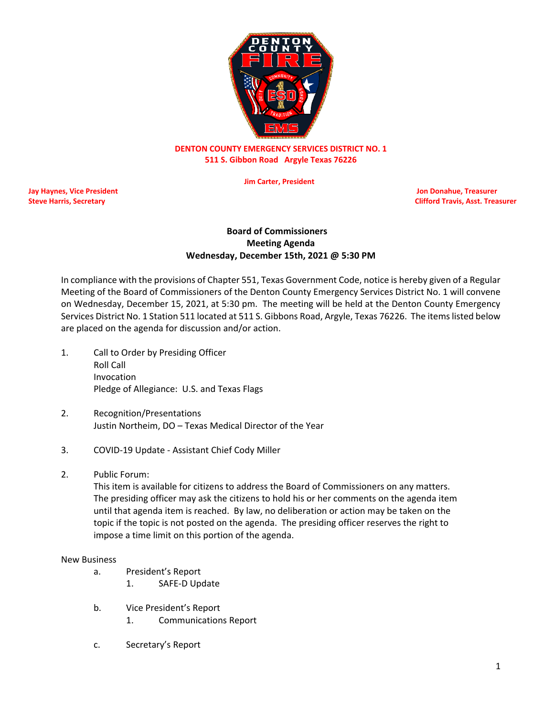

# **DENTON COUNTY EMERGENCY SERVICES DISTRICT NO. 1 511 S. Gibbon Road Argyle Texas 76226**

 **Jim Carter, President**

**Jay Haynes, Vice President Jon Donahue, Treasurer**

**Steve Harris, Secretary Clifford Travis, Asst. Treasurer** Clifford Travis, Asst. Treasurer

# **Board of Commissioners Meeting Agenda Wednesday, December 15th, 2021 @ 5:30 PM**

In compliance with the provisions of Chapter 551, Texas Government Code, notice is hereby given of a Regular Meeting of the Board of Commissioners of the Denton County Emergency Services District No. 1 will convene on Wednesday, December 15, 2021, at 5:30 pm. The meeting will be held at the Denton County Emergency Services District No. 1 Station 511 located at 511 S. Gibbons Road, Argyle, Texas 76226. The items listed below are placed on the agenda for discussion and/or action.

- 1. Call to Order by Presiding Officer Roll Call Invocation Pledge of Allegiance: U.S. and Texas Flags
- 2. Recognition/Presentations Justin Northeim, DO – Texas Medical Director of the Year
- 3. COVID-19 Update Assistant Chief Cody Miller
- 2. Public Forum:

This item is available for citizens to address the Board of Commissioners on any matters. The presiding officer may ask the citizens to hold his or her comments on the agenda item until that agenda item is reached. By law, no deliberation or action may be taken on the topic if the topic is not posted on the agenda. The presiding officer reserves the right to impose a time limit on this portion of the agenda.

### New Business

- a. President's Report
	- 1. SAFE-D Update
- b. Vice President's Report
	- 1. Communications Report
- c. Secretary's Report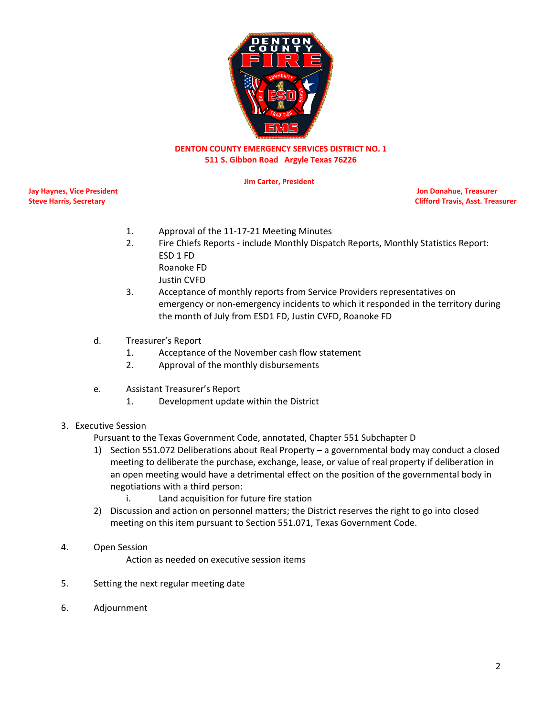

# **DENTON COUNTY EMERGENCY SERVICES DISTRICT NO. 1 511 S. Gibbon Road Argyle Texas 76226**

 **Jim Carter, President**

**Jay Haynes, Vice President Jon Donahue, Treasurer**

**Steve Harris, Secretary Clifford Travis, Asst. Treasurer** Clifford Travis, Asst. Treasurer

- 1. Approval of the 11-17-21 Meeting Minutes
- 2. Fire Chiefs Reports include Monthly Dispatch Reports, Monthly Statistics Report: ESD 1 FD Roanoke FD
- Justin CVFD 3. Acceptance of monthly reports from Service Providers representatives on
- emergency or non-emergency incidents to which it responded in the territory during the month of July from ESD1 FD, Justin CVFD, Roanoke FD
- d. Treasurer's Report
	- 1. Acceptance of the November cash flow statement
	- 2. Approval of the monthly disbursements
- e. Assistant Treasurer's Report
	- 1. Development update within the District
- 3. Executive Session

Pursuant to the Texas Government Code, annotated, Chapter 551 Subchapter D

- 1) Section 551.072 Deliberations about Real Property a governmental body may conduct a closed meeting to deliberate the purchase, exchange, lease, or value of real property if deliberation in an open meeting would have a detrimental effect on the position of the governmental body in negotiations with a third person:
	- i. Land acquisition for future fire station
- 2) Discussion and action on personnel matters; the District reserves the right to go into closed meeting on this item pursuant to Section 551.071, Texas Government Code.
- 4. Open Session

Action as needed on executive session items

- 5. Setting the next regular meeting date
- 6. Adjournment